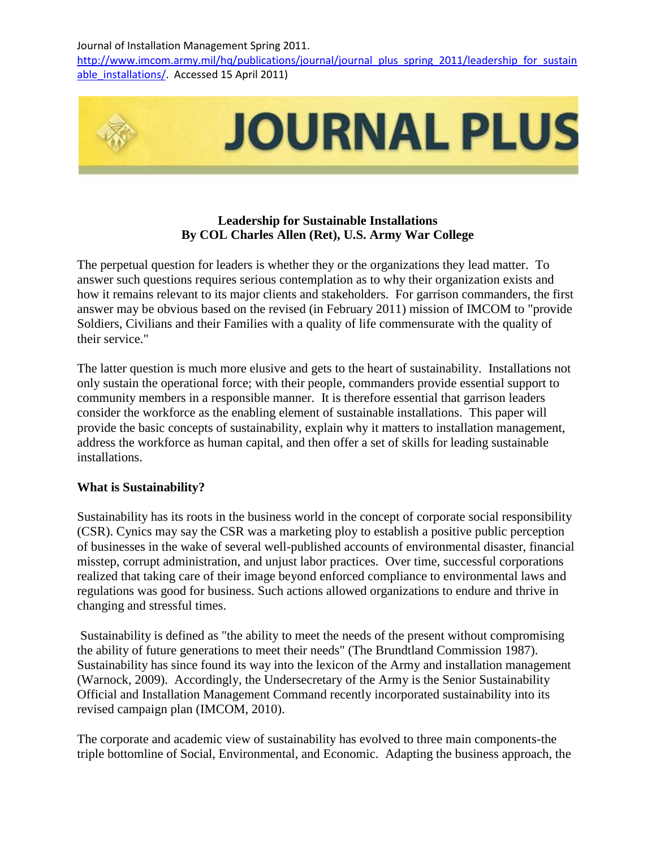http://www.imcom.army.mil/hq/publications/journal/journal\_plus\_spring\_2011/leadership\_for\_sustain able installations/. Accessed 15 April 2011)



# **Leadership for Sustainable Installations By COL Charles Allen (Ret), U.S. Army War College**

The perpetual question for leaders is whether they or the organizations they lead matter. To answer such questions requires serious contemplation as to why their organization exists and how it remains relevant to its major clients and stakeholders. For garrison commanders, the first answer may be obvious based on the revised (in February 2011) mission of IMCOM to "provide Soldiers, Civilians and their Families with a quality of life commensurate with the quality of their service."

The latter question is much more elusive and gets to the heart of sustainability. Installations not only sustain the operational force; with their people, commanders provide essential support to community members in a responsible manner. It is therefore essential that garrison leaders consider the workforce as the enabling element of sustainable installations. This paper will provide the basic concepts of sustainability, explain why it matters to installation management, address the workforce as human capital, and then offer a set of skills for leading sustainable installations.

# **What is Sustainability?**

Sustainability has its roots in the business world in the concept of corporate social responsibility (CSR). Cynics may say the CSR was a marketing ploy to establish a positive public perception of businesses in the wake of several well-published accounts of environmental disaster, financial misstep, corrupt administration, and unjust labor practices. Over time, successful corporations realized that taking care of their image beyond enforced compliance to environmental laws and regulations was good for business. Such actions allowed organizations to endure and thrive in changing and stressful times.

Sustainability is defined as "the ability to meet the needs of the present without compromising the ability of future generations to meet their needs" (The Brundtland Commission 1987). Sustainability has since found its way into the lexicon of the Army and installation management (Warnock, 2009). Accordingly, the Undersecretary of the Army is the Senior Sustainability Official and Installation Management Command recently incorporated sustainability into its revised campaign plan (IMCOM, 2010).

The corporate and academic view of sustainability has evolved to three main components-the triple bottomline of Social, Environmental, and Economic. Adapting the business approach, the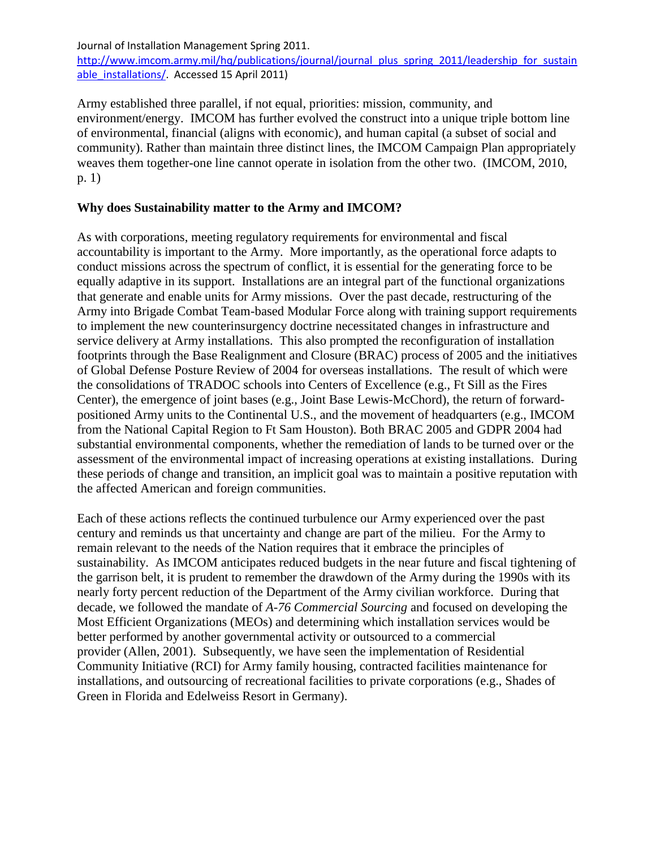http://www.imcom.army.mil/hq/publications/journal/journal\_plus\_spring\_2011/leadership\_for\_sustain able installations/. Accessed 15 April 2011)

Army established three parallel, if not equal, priorities: mission, community, and environment/energy. IMCOM has further evolved the construct into a unique triple bottom line of environmental, financial (aligns with economic), and human capital (a subset of social and community). Rather than maintain three distinct lines, the IMCOM Campaign Plan appropriately weaves them together-one line cannot operate in isolation from the other two. (IMCOM, 2010, p. 1)

### **Why does Sustainability matter to the Army and IMCOM?**

As with corporations, meeting regulatory requirements for environmental and fiscal accountability is important to the Army. More importantly, as the operational force adapts to conduct missions across the spectrum of conflict, it is essential for the generating force to be equally adaptive in its support. Installations are an integral part of the functional organizations that generate and enable units for Army missions. Over the past decade, restructuring of the Army into Brigade Combat Team-based Modular Force along with training support requirements to implement the new counterinsurgency doctrine necessitated changes in infrastructure and service delivery at Army installations. This also prompted the reconfiguration of installation footprints through the Base Realignment and Closure (BRAC) process of 2005 and the initiatives of Global Defense Posture Review of 2004 for overseas installations. The result of which were the consolidations of TRADOC schools into Centers of Excellence (e.g., Ft Sill as the Fires Center), the emergence of joint bases (e.g., Joint Base Lewis-McChord), the return of forwardpositioned Army units to the Continental U.S., and the movement of headquarters (e.g., IMCOM from the National Capital Region to Ft Sam Houston). Both BRAC 2005 and GDPR 2004 had substantial environmental components, whether the remediation of lands to be turned over or the assessment of the environmental impact of increasing operations at existing installations. During these periods of change and transition, an implicit goal was to maintain a positive reputation with the affected American and foreign communities.

Each of these actions reflects the continued turbulence our Army experienced over the past century and reminds us that uncertainty and change are part of the milieu. For the Army to remain relevant to the needs of the Nation requires that it embrace the principles of sustainability. As IMCOM anticipates reduced budgets in the near future and fiscal tightening of the garrison belt, it is prudent to remember the drawdown of the Army during the 1990s with its nearly forty percent reduction of the Department of the Army civilian workforce. During that decade, we followed the mandate of *A-76 Commercial Sourcing* and focused on developing the Most Efficient Organizations (MEOs) and determining which installation services would be better performed by another governmental activity or outsourced to a commercial provider (Allen, 2001). Subsequently, we have seen the implementation of Residential Community Initiative (RCI) for Army family housing, contracted facilities maintenance for installations, and outsourcing of recreational facilities to private corporations (e.g., Shades of Green in Florida and Edelweiss Resort in Germany).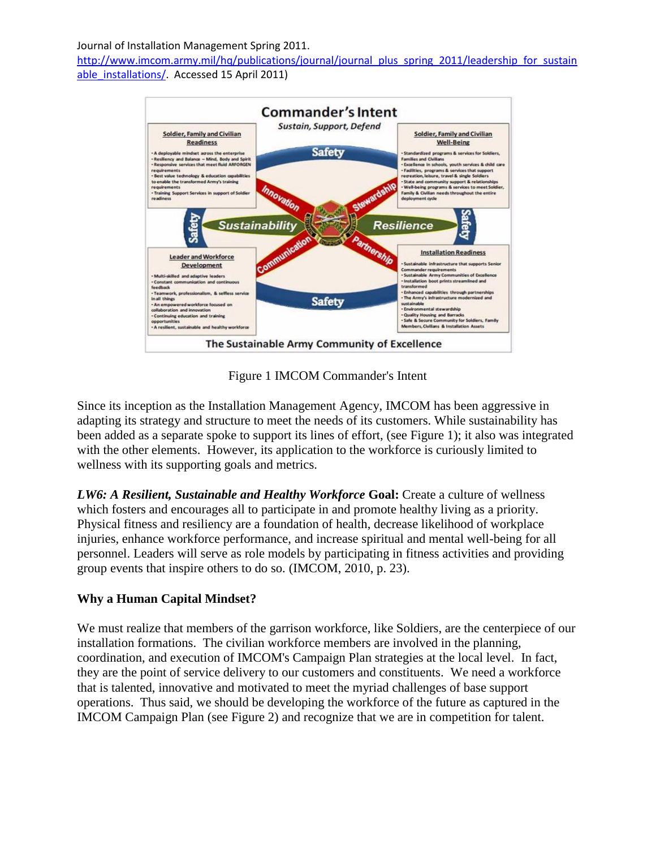http://www.imcom.army.mil/hq/publications/journal/journal\_plus\_spring\_2011/leadership\_for\_sustain able installations/. Accessed 15 April 2011)



Figure 1 IMCOM Commander's Intent

Since its inception as the Installation Management Agency, IMCOM has been aggressive in adapting its strategy and structure to meet the needs of its customers. While sustainability has been added as a separate spoke to support its lines of effort, (see Figure 1); it also was integrated with the other elements. However, its application to the workforce is curiously limited to wellness with its supporting goals and metrics.

**LW6: A Resilient, Sustainable and Healthy Workforce Goal: Create a culture of wellness** which fosters and encourages all to participate in and promote healthy living as a priority. Physical fitness and resiliency are a foundation of health, decrease likelihood of workplace injuries, enhance workforce performance, and increase spiritual and mental well-being for all personnel. Leaders will serve as role models by participating in fitness activities and providing group events that inspire others to do so. (IMCOM, 2010, p. 23).

# **Why a Human Capital Mindset?**

We must realize that members of the garrison workforce, like Soldiers, are the centerpiece of our installation formations. The civilian workforce members are involved in the planning, coordination, and execution of IMCOM's Campaign Plan strategies at the local level. In fact, they are the point of service delivery to our customers and constituents. We need a workforce that is talented, innovative and motivated to meet the myriad challenges of base support operations. Thus said, we should be developing the workforce of the future as captured in the IMCOM Campaign Plan (see Figure 2) and recognize that we are in competition for talent.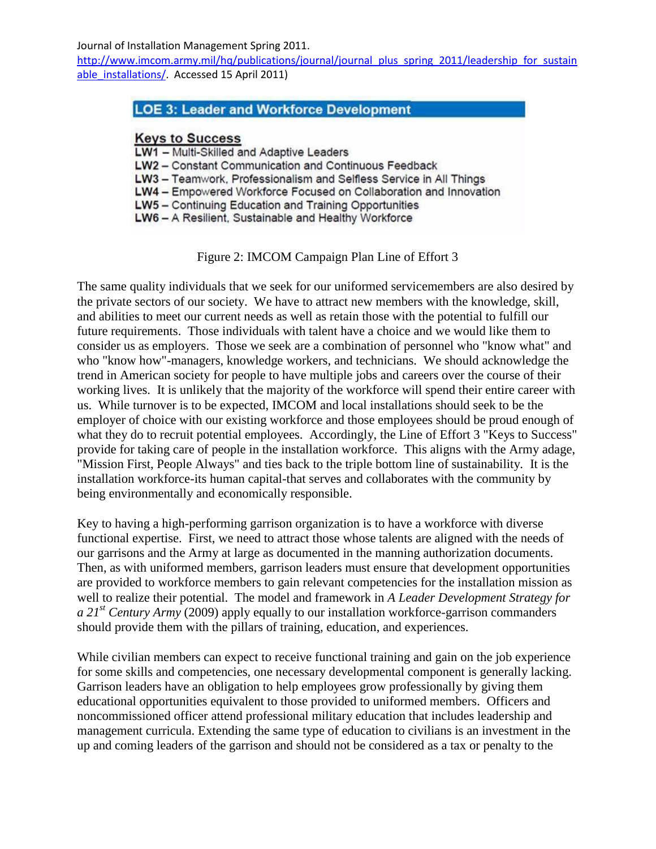http://www.imcom.army.mil/hq/publications/journal/journal\_plus\_spring\_2011/leadership\_for\_sustain able installations/. Accessed 15 April 2011)

# **LOE 3: Leader and Workforce Development**

#### **Keys to Success**

- LW1 Multi-Skilled and Adaptive Leaders
- LW2 Constant Communication and Continuous Feedback

LW3 - Teamwork, Professionalism and Selfless Service in All Things

LW4 - Empowered Workforce Focused on Collaboration and Innovation

LW5 - Continuing Education and Training Opportunities

LW6 - A Resilient, Sustainable and Healthy Workforce

Figure 2: IMCOM Campaign Plan Line of Effort 3

The same quality individuals that we seek for our uniformed servicemembers are also desired by the private sectors of our society. We have to attract new members with the knowledge, skill, and abilities to meet our current needs as well as retain those with the potential to fulfill our future requirements. Those individuals with talent have a choice and we would like them to consider us as employers. Those we seek are a combination of personnel who "know what" and who "know how"-managers, knowledge workers, and technicians. We should acknowledge the trend in American society for people to have multiple jobs and careers over the course of their working lives. It is unlikely that the majority of the workforce will spend their entire career with us. While turnover is to be expected, IMCOM and local installations should seek to be the employer of choice with our existing workforce and those employees should be proud enough of what they do to recruit potential employees. Accordingly, the Line of Effort 3 "Keys to Success" provide for taking care of people in the installation workforce. This aligns with the Army adage, "Mission First, People Always" and ties back to the triple bottom line of sustainability. It is the installation workforce-its human capital-that serves and collaborates with the community by being environmentally and economically responsible.

Key to having a high-performing garrison organization is to have a workforce with diverse functional expertise. First, we need to attract those whose talents are aligned with the needs of our garrisons and the Army at large as documented in the manning authorization documents. Then, as with uniformed members, garrison leaders must ensure that development opportunities are provided to workforce members to gain relevant competencies for the installation mission as well to realize their potential. The model and framework in *A Leader Development Strategy for a 21st Century Army* (2009) apply equally to our installation workforce-garrison commanders should provide them with the pillars of training, education, and experiences.

While civilian members can expect to receive functional training and gain on the job experience for some skills and competencies, one necessary developmental component is generally lacking. Garrison leaders have an obligation to help employees grow professionally by giving them educational opportunities equivalent to those provided to uniformed members. Officers and noncommissioned officer attend professional military education that includes leadership and management curricula. Extending the same type of education to civilians is an investment in the up and coming leaders of the garrison and should not be considered as a tax or penalty to the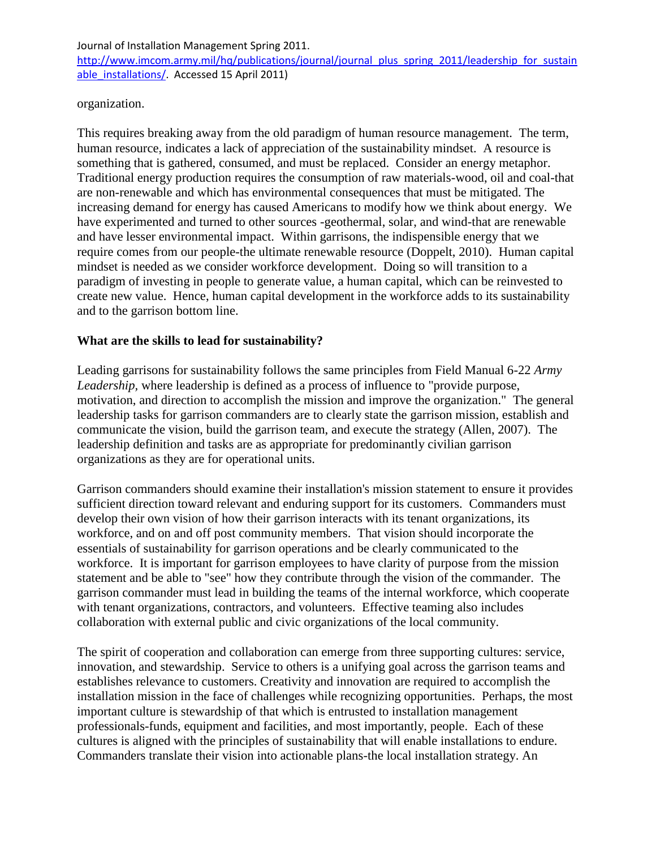http://www.imcom.army.mil/hq/publications/journal/journal\_plus\_spring\_2011/leadership\_for\_sustain able\_installations/. Accessed 15 April 2011)

organization.

This requires breaking away from the old paradigm of human resource management. The term, human resource, indicates a lack of appreciation of the sustainability mindset. A resource is something that is gathered, consumed, and must be replaced. Consider an energy metaphor. Traditional energy production requires the consumption of raw materials-wood, oil and coal-that are non-renewable and which has environmental consequences that must be mitigated. The increasing demand for energy has caused Americans to modify how we think about energy. We have experimented and turned to other sources -geothermal, solar, and wind-that are renewable and have lesser environmental impact. Within garrisons, the indispensible energy that we require comes from our people-the ultimate renewable resource (Doppelt, 2010). Human capital mindset is needed as we consider workforce development. Doing so will transition to a paradigm of investing in people to generate value, a human capital, which can be reinvested to create new value. Hence, human capital development in the workforce adds to its sustainability and to the garrison bottom line.

### **What are the skills to lead for sustainability?**

Leading garrisons for sustainability follows the same principles from Field Manual 6-22 *Army Leadership,* where leadership is defined as a process of influence to "provide purpose, motivation, and direction to accomplish the mission and improve the organization." The general leadership tasks for garrison commanders are to clearly state the garrison mission, establish and communicate the vision, build the garrison team, and execute the strategy (Allen, 2007). The leadership definition and tasks are as appropriate for predominantly civilian garrison organizations as they are for operational units.

Garrison commanders should examine their installation's mission statement to ensure it provides sufficient direction toward relevant and enduring support for its customers. Commanders must develop their own vision of how their garrison interacts with its tenant organizations, its workforce, and on and off post community members. That vision should incorporate the essentials of sustainability for garrison operations and be clearly communicated to the workforce. It is important for garrison employees to have clarity of purpose from the mission statement and be able to "see" how they contribute through the vision of the commander. The garrison commander must lead in building the teams of the internal workforce, which cooperate with tenant organizations, contractors, and volunteers. Effective teaming also includes collaboration with external public and civic organizations of the local community.

The spirit of cooperation and collaboration can emerge from three supporting cultures: service, innovation, and stewardship. Service to others is a unifying goal across the garrison teams and establishes relevance to customers. Creativity and innovation are required to accomplish the installation mission in the face of challenges while recognizing opportunities. Perhaps, the most important culture is stewardship of that which is entrusted to installation management professionals-funds, equipment and facilities, and most importantly, people. Each of these cultures is aligned with the principles of sustainability that will enable installations to endure. Commanders translate their vision into actionable plans-the local installation strategy. An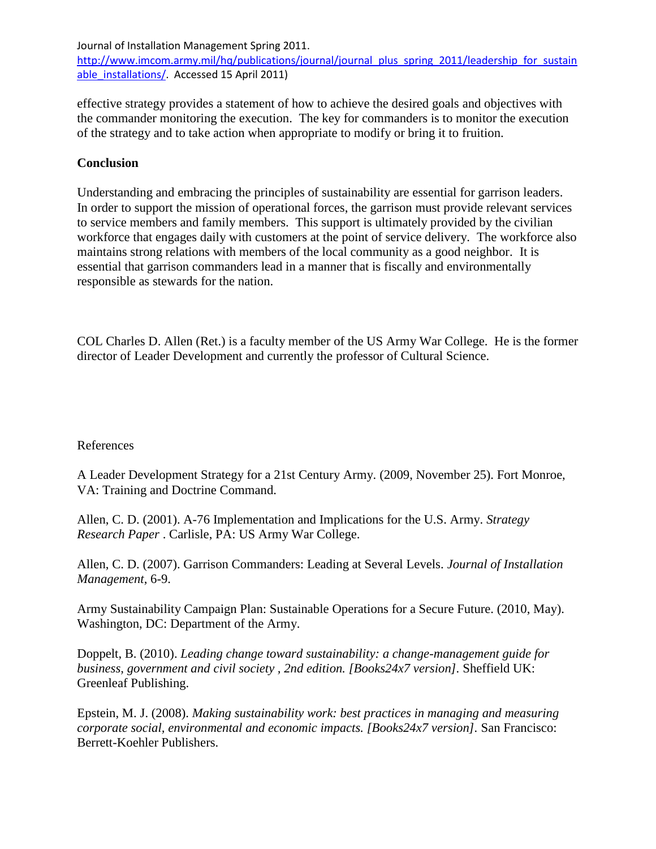http://www.imcom.army.mil/hq/publications/journal/journal\_plus\_spring\_2011/leadership\_for\_sustain able\_installations/. Accessed 15 April 2011)

effective strategy provides a statement of how to achieve the desired goals and objectives with the commander monitoring the execution. The key for commanders is to monitor the execution of the strategy and to take action when appropriate to modify or bring it to fruition.

### **Conclusion**

Understanding and embracing the principles of sustainability are essential for garrison leaders. In order to support the mission of operational forces, the garrison must provide relevant services to service members and family members. This support is ultimately provided by the civilian workforce that engages daily with customers at the point of service delivery. The workforce also maintains strong relations with members of the local community as a good neighbor. It is essential that garrison commanders lead in a manner that is fiscally and environmentally responsible as stewards for the nation.

COL Charles D. Allen (Ret.) is a faculty member of the US Army War College. He is the former director of Leader Development and currently the professor of Cultural Science.

### References

A Leader Development Strategy for a 21st Century Army. (2009, November 25). Fort Monroe, VA: Training and Doctrine Command.

Allen, C. D. (2001). A-76 Implementation and Implications for the U.S. Army. *Strategy Research Paper* . Carlisle, PA: US Army War College.

Allen, C. D. (2007). Garrison Commanders: Leading at Several Levels. *Journal of Installation Management*, 6-9.

Army Sustainability Campaign Plan: Sustainable Operations for a Secure Future. (2010, May). Washington, DC: Department of the Army.

Doppelt, B. (2010). *Leading change toward sustainability: a change-management guide for business, government and civil society , 2nd edition. [Books24x7 version].* Sheffield UK: Greenleaf Publishing.

Epstein, M. J. (2008). *Making sustainability work: best practices in managing and measuring corporate social, environmental and economic impacts. [Books24x7 version].* San Francisco: Berrett-Koehler Publishers.